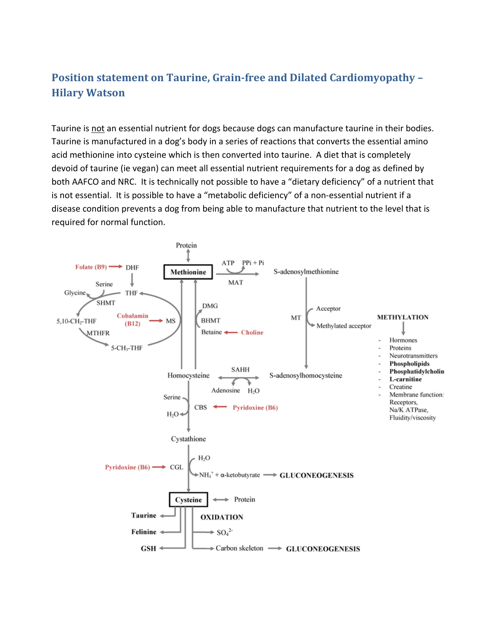## **Position statement on Taurine, Grainfree and Dilated Cardiomyopathy – Hilary Watson**

Taurine is not an essential nutrient for dogs because dogs can manufacture taurine in their bodies. Taurine is manufactured in a dog's body in a series of reactions that converts the essential amino acid methionine into cysteine which is then converted into taurine. A diet that is completely devoid of taurine (ie vegan) can meet all essential nutrient requirements for a dog as defined by both AAFCO and NRC. It is technically not possible to have a "dietary deficiency" of a nutrient that is not essential. It is possible to have a "metabolic deficiency" of a non-essential nutrient if a disease condition prevents a dog from being able to manufacture that nutrient to the level that is required for normal function.

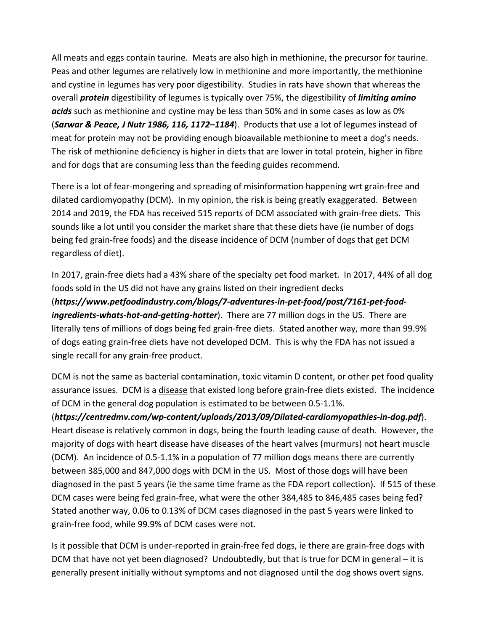All meats and eggs contain taurine. Meats are also high in methionine, the precursor for taurine. Peas and other legumes are relatively low in methionine and more importantly, the methionine and cystine in legumes has very poor digestibility. Studies in rats have shown that whereas the overall *protein* digestibility of legumes is typically over 75%, the digestibility of *limiting amino acids* such as methionine and cystine may be less than 50% and in some cases as low as 0% (*Sarwar & Peace, J Nutr 1986, 116, 1172–1184*). Products that use a lot of legumes instead of meat for protein may not be providing enough bioavailable methionine to meet a dog's needs. The risk of methionine deficiency is higher in diets that are lower in total protein, higher in fibre and for dogs that are consuming less than the feeding guides recommend.

There is a lot of fear‐mongering and spreading of misinformation happening wrt grain‐free and dilated cardiomyopathy (DCM). In my opinion, the risk is being greatly exaggerated. Between 2014 and 2019, the FDA has received 515 reports of DCM associated with grain‐free diets. This sounds like a lot until you consider the market share that these diets have (ie number of dogs being fed grain‐free foods) and the disease incidence of DCM (number of dogs that get DCM regardless of diet).

In 2017, grain‐free diets had a 43% share of the specialty pet food market. In 2017, 44% of all dog foods sold in the US did not have any grains listed on their ingredient decks (*https://www.petfoodindustry.com/blogs/7‐adventures‐in‐pet‐food/post/7161‐pet‐food‐ ingredients‐whats‐hot‐and‐getting‐hotter*). There are 77 million dogs in the US. There are literally tens of millions of dogs being fed grain‐free diets. Stated another way, more than 99.9% of dogs eating grain‐free diets have not developed DCM. This is why the FDA has not issued a single recall for any grain‐free product.

DCM is not the same as bacterial contamination, toxic vitamin D content, or other pet food quality assurance issues. DCM is a disease that existed long before grain‐free diets existed. The incidence of DCM in the general dog population is estimated to be between 0.5‐1.1%.

(*https://centredmv.com/wp‐content/uploads/2013/09/Dilated‐cardiomyopathies‐in‐dog.pdf*). Heart disease is relatively common in dogs, being the fourth leading cause of death. However, the majority of dogs with heart disease have diseases of the heart valves (murmurs) not heart muscle (DCM). An incidence of 0.5‐1.1% in a population of 77 million dogs means there are currently between 385,000 and 847,000 dogs with DCM in the US. Most of those dogs will have been diagnosed in the past 5 years (ie the same time frame as the FDA report collection). If 515 of these DCM cases were being fed grain-free, what were the other 384,485 to 846,485 cases being fed? Stated another way, 0.06 to 0.13% of DCM cases diagnosed in the past 5 years were linked to grain‐free food, while 99.9% of DCM cases were not.

Is it possible that DCM is under‐reported in grain‐free fed dogs, ie there are grain‐free dogs with DCM that have not yet been diagnosed? Undoubtedly, but that is true for DCM in general – it is generally present initially without symptoms and not diagnosed until the dog shows overt signs.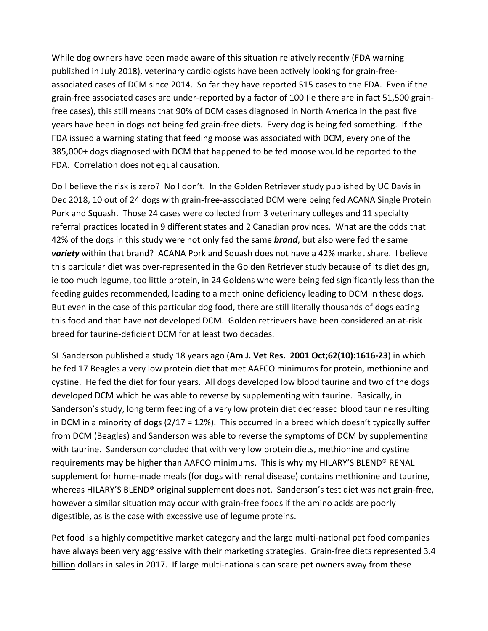While dog owners have been made aware of this situation relatively recently (FDA warning published in July 2018), veterinary cardiologists have been actively looking for grain‐free‐ associated cases of DCM since 2014. So far they have reported 515 cases to the FDA. Even if the grain‐free associated cases are under‐reported by a factor of 100 (ie there are in fact 51,500 grain‐ free cases), this still means that 90% of DCM cases diagnosed in North America in the past five years have been in dogs not being fed grain‐free diets. Every dog is being fed something. If the FDA issued a warning stating that feeding moose was associated with DCM, every one of the 385,000+ dogs diagnosed with DCM that happened to be fed moose would be reported to the FDA. Correlation does not equal causation.

Do I believe the risk is zero? No I don't. In the Golden Retriever study published by UC Davis in Dec 2018, 10 out of 24 dogs with grain-free-associated DCM were being fed ACANA Single Protein Pork and Squash. Those 24 cases were collected from 3 veterinary colleges and 11 specialty referral practices located in 9 different states and 2 Canadian provinces. What are the odds that 42% of the dogs in this study were not only fed the same *brand*, but also were fed the same *variety* within that brand? ACANA Pork and Squash does not have a 42% market share. I believe this particular diet was over‐represented in the Golden Retriever study because of its diet design, ie too much legume, too little protein, in 24 Goldens who were being fed significantly less than the feeding guides recommended, leading to a methionine deficiency leading to DCM in these dogs. But even in the case of this particular dog food, there are still literally thousands of dogs eating this food and that have not developed DCM. Golden retrievers have been considered an at‐risk breed for taurine‐deficient DCM for at least two decades.

SL Sanderson published a study 18 years ago (**Am J. Vet Res. 2001 Oct;62(10):1616‐23**) in which he fed 17 Beagles a very low protein diet that met AAFCO minimums for protein, methionine and cystine. He fed the diet for four years. All dogs developed low blood taurine and two of the dogs developed DCM which he was able to reverse by supplementing with taurine. Basically, in Sanderson's study, long term feeding of a very low protein diet decreased blood taurine resulting in DCM in a minority of dogs  $(2/17 = 12%)$ . This occurred in a breed which doesn't typically suffer from DCM (Beagles) and Sanderson was able to reverse the symptoms of DCM by supplementing with taurine. Sanderson concluded that with very low protein diets, methionine and cystine requirements may be higher than AAFCO minimums. This is why my HILARY'S BLEND® RENAL supplement for home‐made meals (for dogs with renal disease) contains methionine and taurine, whereas HILARY'S BLEND<sup>®</sup> original supplement does not. Sanderson's test diet was not grain-free, however a similar situation may occur with grain‐free foods if the amino acids are poorly digestible, as is the case with excessive use of legume proteins.

Pet food is a highly competitive market category and the large multi‐national pet food companies have always been very aggressive with their marketing strategies. Grain-free diets represented 3.4 billion dollars in sales in 2017. If large multi-nationals can scare pet owners away from these